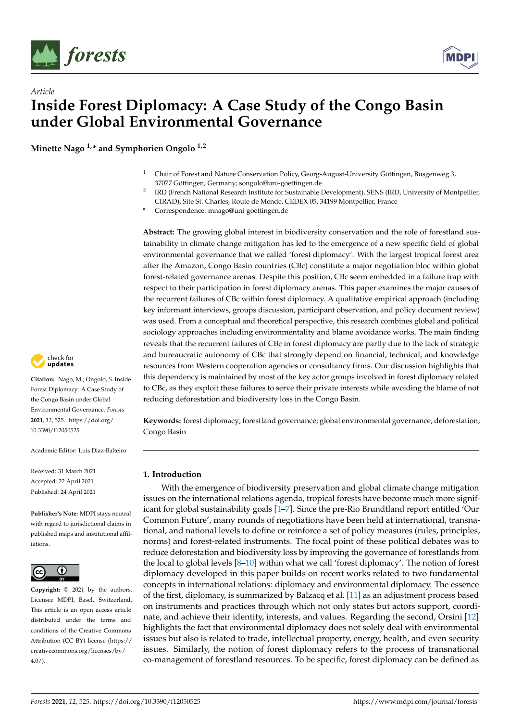

*Article*



# **Inside Forest Diplomacy: A Case Study of the Congo Basin under Global Environmental Governance**

**Minette Nago 1,\* and Symphorien Ongolo 1,2**

- <sup>1</sup> Chair of Forest and Nature Conservation Policy, Georg-August-University Göttingen, Büsgenweg 3, 37077 Göttingen, Germany; songolo@uni-goettingen.de
- 2 IRD (French National Research Institute for Sustainable Development), SENS (IRD, University of Montpellier, CIRAD), Site St. Charles, Route de Mende, CEDEX 05, 34199 Montpellier, France
- **\*** Correspondence: mnago@uni-goettingen.de

**Abstract:** The growing global interest in biodiversity conservation and the role of forestland sustainability in climate change mitigation has led to the emergence of a new specific field of global environmental governance that we called 'forest diplomacy'. With the largest tropical forest area after the Amazon, Congo Basin countries (CBc) constitute a major negotiation bloc within global forest-related governance arenas. Despite this position, CBc seem embedded in a failure trap with respect to their participation in forest diplomacy arenas. This paper examines the major causes of the recurrent failures of CBc within forest diplomacy. A qualitative empirical approach (including key informant interviews, groups discussion, participant observation, and policy document review) was used. From a conceptual and theoretical perspective, this research combines global and political sociology approaches including environmentality and blame avoidance works. The main finding reveals that the recurrent failures of CBc in forest diplomacy are partly due to the lack of strategic and bureaucratic autonomy of CBc that strongly depend on financial, technical, and knowledge resources from Western cooperation agencies or consultancy firms. Our discussion highlights that this dependency is maintained by most of the key actor groups involved in forest diplomacy related to CBc, as they exploit these failures to serve their private interests while avoiding the blame of not reducing deforestation and biodiversity loss in the Congo Basin.

**Keywords:** forest diplomacy; forestland governance; global environmental governance; deforestation; Congo Basin

# **1. Introduction**

With the emergence of biodiversity preservation and global climate change mitigation issues on the international relations agenda, tropical forests have become much more significant for global sustainability goals [\[1](#page-12-0)[–7\]](#page-13-0). Since the pre-Rio Brundtland report entitled 'Our Common Future', many rounds of negotiations have been held at international, transnational, and national levels to define or reinforce a set of policy measures (rules, principles, norms) and forest-related instruments. The focal point of these political debates was to reduce deforestation and biodiversity loss by improving the governance of forestlands from the local to global levels [\[8–](#page-13-1)[10\]](#page-13-2) within what we call 'forest diplomacy'. The notion of forest diplomacy developed in this paper builds on recent works related to two fundamental concepts in international relations: diplomacy and environmental diplomacy. The essence of the first, diplomacy, is summarized by Balzacq et al. [\[11\]](#page-13-3) as an adjustment process based on instruments and practices through which not only states but actors support, coordinate, and achieve their identity, interests, and values. Regarding the second, Orsini [\[12\]](#page-13-4) highlights the fact that environmental diplomacy does not solely deal with environmental issues but also is related to trade, intellectual property, energy, health, and even security issues. Similarly, the notion of forest diplomacy refers to the process of transnational co-management of forestland resources. To be specific, forest diplomacy can be defined as



**Citation:** Nago, M.; Ongolo, S. Inside Forest Diplomacy: A Case Study of the Congo Basin under Global Environmental Governance. *Forests* **2021**, *12*, 525. [https://doi.org/](https://doi.org/10.3390/f12050525) [10.3390/f12050525](https://doi.org/10.3390/f12050525)

Academic Editor: Luis Diaz-Balteiro

Received: 31 March 2021 Accepted: 22 April 2021 Published: 24 April 2021

**Publisher's Note:** MDPI stays neutral with regard to jurisdictional claims in published maps and institutional affiliations.



**Copyright:** © 2021 by the authors. Licensee MDPI, Basel, Switzerland. This article is an open access article distributed under the terms and conditions of the Creative Commons Attribution (CC BY) license (https:/[/](https://creativecommons.org/licenses/by/4.0/) [creativecommons.org/licenses/by/](https://creativecommons.org/licenses/by/4.0/)  $4.0/$ ).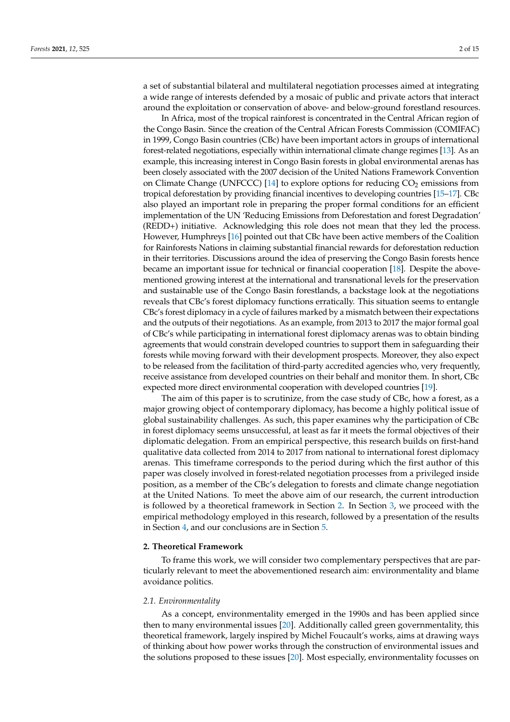a set of substantial bilateral and multilateral negotiation processes aimed at integrating a wide range of interests defended by a mosaic of public and private actors that interact around the exploitation or conservation of above- and below-ground forestland resources.

In Africa, most of the tropical rainforest is concentrated in the Central African region of the Congo Basin. Since the creation of the Central African Forests Commission (COMIFAC) in 1999, Congo Basin countries (CBc) have been important actors in groups of international forest-related negotiations, especially within international climate change regimes [\[13\]](#page-13-5). As an example, this increasing interest in Congo Basin forests in global environmental arenas has been closely associated with the 2007 decision of the United Nations Framework Convention on Climate Change (UNFCCC)  $[14]$  to explore options for reducing  $CO<sub>2</sub>$  emissions from tropical deforestation by providing financial incentives to developing countries [\[15–](#page-13-7)[17\]](#page-13-8). CBc also played an important role in preparing the proper formal conditions for an efficient implementation of the UN 'Reducing Emissions from Deforestation and forest Degradation' (REDD+) initiative. Acknowledging this role does not mean that they led the process. However, Humphreys [\[16\]](#page-13-9) pointed out that CBc have been active members of the Coalition for Rainforests Nations in claiming substantial financial rewards for deforestation reduction in their territories. Discussions around the idea of preserving the Congo Basin forests hence became an important issue for technical or financial cooperation [\[18\]](#page-13-10). Despite the abovementioned growing interest at the international and transnational levels for the preservation and sustainable use of the Congo Basin forestlands, a backstage look at the negotiations reveals that CBc's forest diplomacy functions erratically. This situation seems to entangle CBc's forest diplomacy in a cycle of failures marked by a mismatch between their expectations and the outputs of their negotiations. As an example, from 2013 to 2017 the major formal goal of CBc's while participating in international forest diplomacy arenas was to obtain binding agreements that would constrain developed countries to support them in safeguarding their forests while moving forward with their development prospects. Moreover, they also expect to be released from the facilitation of third-party accredited agencies who, very frequently, receive assistance from developed countries on their behalf and monitor them. In short, CBc expected more direct environmental cooperation with developed countries [\[19\]](#page-13-11).

The aim of this paper is to scrutinize, from the case study of CBc, how a forest, as a major growing object of contemporary diplomacy, has become a highly political issue of global sustainability challenges. As such, this paper examines why the participation of CBc in forest diplomacy seems unsuccessful, at least as far it meets the formal objectives of their diplomatic delegation. From an empirical perspective, this research builds on first-hand qualitative data collected from 2014 to 2017 from national to international forest diplomacy arenas. This timeframe corresponds to the period during which the first author of this paper was closely involved in forest-related negotiation processes from a privileged inside position, as a member of the CBc's delegation to forests and climate change negotiation at the United Nations. To meet the above aim of our research, the current introduction is followed by a theoretical framework in Section [2.](#page-1-0) In Section [3,](#page-4-0) we proceed with the empirical methodology employed in this research, followed by a presentation of the results in Section [4,](#page-6-0) and our conclusions are in Section [5.](#page-10-0)

# <span id="page-1-0"></span>**2. Theoretical Framework**

To frame this work, we will consider two complementary perspectives that are particularly relevant to meet the abovementioned research aim: environmentality and blame avoidance politics.

## *2.1. Environmentality*

As a concept, environmentality emerged in the 1990s and has been applied since then to many environmental issues [\[20\]](#page-13-12). Additionally called green governmentality, this theoretical framework, largely inspired by Michel Foucault's works, aims at drawing ways of thinking about how power works through the construction of environmental issues and the solutions proposed to these issues [\[20\]](#page-13-12). Most especially, environmentality focusses on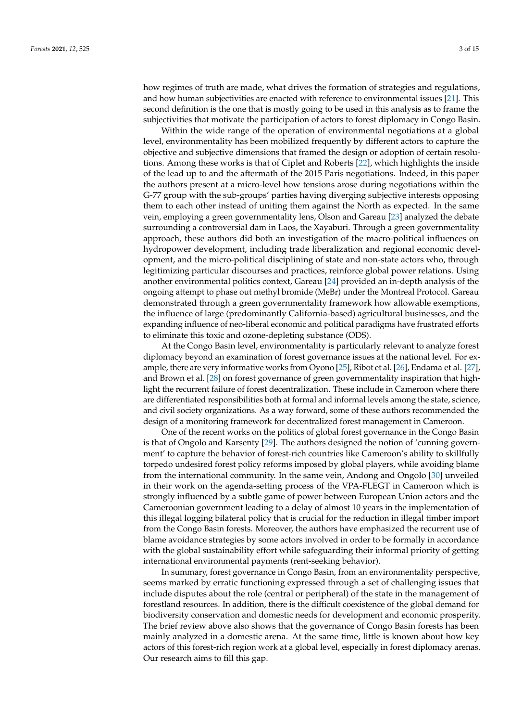how regimes of truth are made, what drives the formation of strategies and regulations, and how human subjectivities are enacted with reference to environmental issues [\[21\]](#page-13-13). This second definition is the one that is mostly going to be used in this analysis as to frame the subjectivities that motivate the participation of actors to forest diplomacy in Congo Basin.

Within the wide range of the operation of environmental negotiations at a global level, environmentality has been mobilized frequently by different actors to capture the objective and subjective dimensions that framed the design or adoption of certain resolutions. Among these works is that of Ciplet and Roberts [\[22\]](#page-13-14), which highlights the inside of the lead up to and the aftermath of the 2015 Paris negotiations. Indeed, in this paper the authors present at a micro-level how tensions arose during negotiations within the G-77 group with the sub-groups' parties having diverging subjective interests opposing them to each other instead of uniting them against the North as expected. In the same vein, employing a green governmentality lens, Olson and Gareau [\[23\]](#page-13-15) analyzed the debate surrounding a controversial dam in Laos, the Xayaburi. Through a green governmentality approach, these authors did both an investigation of the macro-political influences on hydropower development, including trade liberalization and regional economic development, and the micro-political disciplining of state and non-state actors who, through legitimizing particular discourses and practices, reinforce global power relations. Using another environmental politics context, Gareau [\[24\]](#page-13-16) provided an in-depth analysis of the ongoing attempt to phase out methyl bromide (MeBr) under the Montreal Protocol. Gareau demonstrated through a green governmentality framework how allowable exemptions, the influence of large (predominantly California-based) agricultural businesses, and the expanding influence of neo-liberal economic and political paradigms have frustrated efforts to eliminate this toxic and ozone-depleting substance (ODS).

At the Congo Basin level, environmentality is particularly relevant to analyze forest diplomacy beyond an examination of forest governance issues at the national level. For example, there are very informative works from Oyono [\[25\]](#page-13-17), Ribot et al. [\[26\]](#page-13-18), Endama et al. [\[27\]](#page-13-19), and Brown et al. [\[28\]](#page-13-20) on forest governance of green governmentality inspiration that highlight the recurrent failure of forest decentralization. These include in Cameroon where there are differentiated responsibilities both at formal and informal levels among the state, science, and civil society organizations. As a way forward, some of these authors recommended the design of a monitoring framework for decentralized forest management in Cameroon.

One of the recent works on the politics of global forest governance in the Congo Basin is that of Ongolo and Karsenty [\[29\]](#page-13-21). The authors designed the notion of 'cunning government' to capture the behavior of forest-rich countries like Cameroon's ability to skillfully torpedo undesired forest policy reforms imposed by global players, while avoiding blame from the international community. In the same vein, Andong and Ongolo [\[30\]](#page-13-22) unveiled in their work on the agenda-setting process of the VPA-FLEGT in Cameroon which is strongly influenced by a subtle game of power between European Union actors and the Cameroonian government leading to a delay of almost 10 years in the implementation of this illegal logging bilateral policy that is crucial for the reduction in illegal timber import from the Congo Basin forests. Moreover, the authors have emphasized the recurrent use of blame avoidance strategies by some actors involved in order to be formally in accordance with the global sustainability effort while safeguarding their informal priority of getting international environmental payments (rent-seeking behavior).

In summary, forest governance in Congo Basin, from an environmentality perspective, seems marked by erratic functioning expressed through a set of challenging issues that include disputes about the role (central or peripheral) of the state in the management of forestland resources. In addition, there is the difficult coexistence of the global demand for biodiversity conservation and domestic needs for development and economic prosperity. The brief review above also shows that the governance of Congo Basin forests has been mainly analyzed in a domestic arena. At the same time, little is known about how key actors of this forest-rich region work at a global level, especially in forest diplomacy arenas. Our research aims to fill this gap.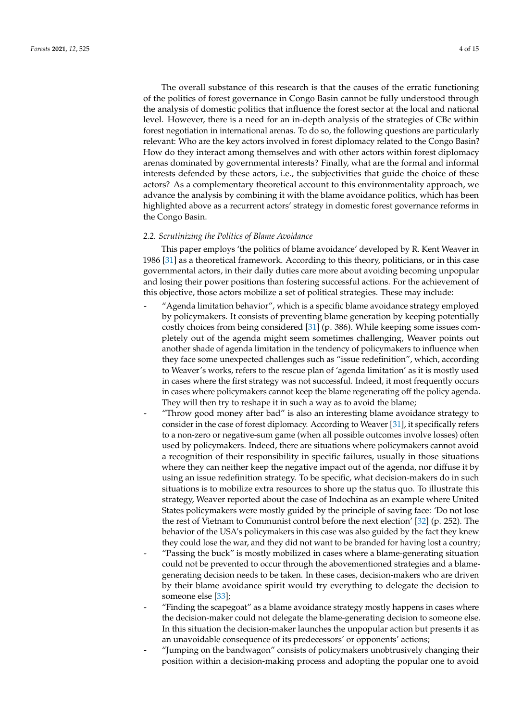The overall substance of this research is that the causes of the erratic functioning of the politics of forest governance in Congo Basin cannot be fully understood through the analysis of domestic politics that influence the forest sector at the local and national level. However, there is a need for an in-depth analysis of the strategies of CBc within forest negotiation in international arenas. To do so, the following questions are particularly relevant: Who are the key actors involved in forest diplomacy related to the Congo Basin? How do they interact among themselves and with other actors within forest diplomacy arenas dominated by governmental interests? Finally, what are the formal and informal interests defended by these actors, i.e., the subjectivities that guide the choice of these actors? As a complementary theoretical account to this environmentality approach, we advance the analysis by combining it with the blame avoidance politics, which has been highlighted above as a recurrent actors' strategy in domestic forest governance reforms in the Congo Basin.

# *2.2. Scrutinizing the Politics of Blame Avoidance*

This paper employs 'the politics of blame avoidance' developed by R. Kent Weaver in 1986 [\[31\]](#page-13-23) as a theoretical framework. According to this theory, politicians, or in this case governmental actors, in their daily duties care more about avoiding becoming unpopular and losing their power positions than fostering successful actions. For the achievement of this objective, those actors mobilize a set of political strategies. These may include:

- "Agenda limitation behavior", which is a specific blame avoidance strategy employed by policymakers. It consists of preventing blame generation by keeping potentially costly choices from being considered [\[31\]](#page-13-23) (p. 386). While keeping some issues completely out of the agenda might seem sometimes challenging, Weaver points out another shade of agenda limitation in the tendency of policymakers to influence when they face some unexpected challenges such as "issue redefinition", which, according to Weaver's works, refers to the rescue plan of 'agenda limitation' as it is mostly used in cases where the first strategy was not successful. Indeed, it most frequently occurs in cases where policymakers cannot keep the blame regenerating off the policy agenda. They will then try to reshape it in such a way as to avoid the blame;
- "Throw good money after bad" is also an interesting blame avoidance strategy to consider in the case of forest diplomacy. According to Weaver [\[31\]](#page-13-23), it specifically refers to a non-zero or negative-sum game (when all possible outcomes involve losses) often used by policymakers. Indeed, there are situations where policymakers cannot avoid a recognition of their responsibility in specific failures, usually in those situations where they can neither keep the negative impact out of the agenda, nor diffuse it by using an issue redefinition strategy. To be specific, what decision-makers do in such situations is to mobilize extra resources to shore up the status quo. To illustrate this strategy, Weaver reported about the case of Indochina as an example where United States policymakers were mostly guided by the principle of saving face: 'Do not lose the rest of Vietnam to Communist control before the next election' [\[32\]](#page-13-24) (p. 252). The behavior of the USA's policymakers in this case was also guided by the fact they knew they could lose the war, and they did not want to be branded for having lost a country; - "Passing the buck" is mostly mobilized in cases where a blame-generating situation could not be prevented to occur through the abovementioned strategies and a blamegenerating decision needs to be taken. In these cases, decision-makers who are driven
- by their blame avoidance spirit would try everything to delegate the decision to someone else [\[33\]](#page-13-25); - "Finding the scapegoat" as a blame avoidance strategy mostly happens in cases where
- the decision-maker could not delegate the blame-generating decision to someone else. In this situation the decision-maker launches the unpopular action but presents it as an unavoidable consequence of its predecessors' or opponents' actions;
- "Jumping on the bandwagon" consists of policymakers unobtrusively changing their position within a decision-making process and adopting the popular one to avoid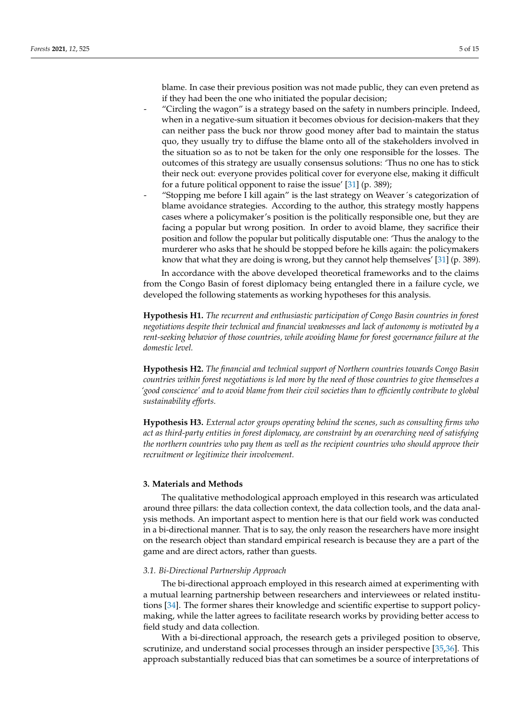blame. In case their previous position was not made public, they can even pretend as if they had been the one who initiated the popular decision;

- "Circling the wagon" is a strategy based on the safety in numbers principle. Indeed, when in a negative-sum situation it becomes obvious for decision-makers that they can neither pass the buck nor throw good money after bad to maintain the status quo, they usually try to diffuse the blame onto all of the stakeholders involved in the situation so as to not be taken for the only one responsible for the losses. The outcomes of this strategy are usually consensus solutions: 'Thus no one has to stick their neck out: everyone provides political cover for everyone else, making it difficult for a future political opponent to raise the issue' [\[31\]](#page-13-23) (p. 389);
	- "Stopping me before I kill again" is the last strategy on Weaver's categorization of blame avoidance strategies. According to the author, this strategy mostly happens cases where a policymaker's position is the politically responsible one, but they are facing a popular but wrong position. In order to avoid blame, they sacrifice their position and follow the popular but politically disputable one: 'Thus the analogy to the murderer who asks that he should be stopped before he kills again: the policymakers know that what they are doing is wrong, but they cannot help themselves' [\[31\]](#page-13-23) (p. 389).

In accordance with the above developed theoretical frameworks and to the claims from the Congo Basin of forest diplomacy being entangled there in a failure cycle, we developed the following statements as working hypotheses for this analysis.

**Hypothesis H1.** *The recurrent and enthusiastic participation of Congo Basin countries in forest negotiations despite their technical and financial weaknesses and lack of autonomy is motivated by a rent-seeking behavior of those countries, while avoiding blame for forest governance failure at the domestic level.*

**Hypothesis H2.** *The financial and technical support of Northern countries towards Congo Basin countries within forest negotiations is led more by the need of those countries to give themselves a 'good conscience' and to avoid blame from their civil societies than to efficiently contribute to global sustainability efforts.*

**Hypothesis H3.** *External actor groups operating behind the scenes, such as consulting firms who act as third-party entities in forest diplomacy, are constraint by an overarching need of satisfying the northern countries who pay them as well as the recipient countries who should approve their recruitment or legitimize their involvement.*

# <span id="page-4-0"></span>**3. Materials and Methods**

The qualitative methodological approach employed in this research was articulated around three pillars: the data collection context, the data collection tools, and the data analysis methods. An important aspect to mention here is that our field work was conducted in a bi-directional manner. That is to say, the only reason the researchers have more insight on the research object than standard empirical research is because they are a part of the game and are direct actors, rather than guests.

# *3.1. Bi-Directional Partnership Approach*

The bi-directional approach employed in this research aimed at experimenting with a mutual learning partnership between researchers and interviewees or related institutions [\[34\]](#page-13-26). The former shares their knowledge and scientific expertise to support policymaking, while the latter agrees to facilitate research works by providing better access to field study and data collection.

With a bi-directional approach, the research gets a privileged position to observe, scrutinize, and understand social processes through an insider perspective [\[35,](#page-13-27)[36\]](#page-13-28). This approach substantially reduced bias that can sometimes be a source of interpretations of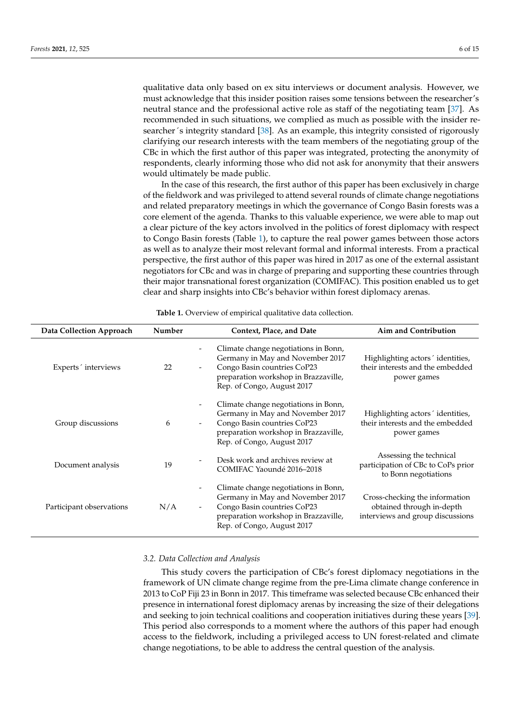qualitative data only based on ex situ interviews or document analysis. However, we must acknowledge that this insider position raises some tensions between the researcher's neutral stance and the professional active role as staff of the negotiating team [\[37\]](#page-14-0). As recommended in such situations, we complied as much as possible with the insider researcher´s integrity standard [\[38\]](#page-14-1). As an example, this integrity consisted of rigorously clarifying our research interests with the team members of the negotiating group of the CBc in which the first author of this paper was integrated, protecting the anonymity of respondents, clearly informing those who did not ask for anonymity that their answers would ultimately be made public.

In the case of this research, the first author of this paper has been exclusively in charge of the fieldwork and was privileged to attend several rounds of climate change negotiations and related preparatory meetings in which the governance of Congo Basin forests was a core element of the agenda. Thanks to this valuable experience, we were able to map out a clear picture of the key actors involved in the politics of forest diplomacy with respect to Congo Basin forests (Table [1\)](#page-5-0), to capture the real power games between those actors as well as to analyze their most relevant formal and informal interests. From a practical perspective, the first author of this paper was hired in 2017 as one of the external assistant negotiators for CBc and was in charge of preparing and supporting these countries through their major transnational forest organization (COMIFAC). This position enabled us to get clear and sharp insights into CBc's behavior within forest diplomacy arenas.

<span id="page-5-0"></span>

| Data Collection Approach | Number | Context, Place, and Date                                                                                                                                                                                                                  | Aim and Contribution                                                                            |
|--------------------------|--------|-------------------------------------------------------------------------------------------------------------------------------------------------------------------------------------------------------------------------------------------|-------------------------------------------------------------------------------------------------|
| Experts' interviews      | 22     | Climate change negotiations in Bonn,<br>Germany in May and November 2017<br>Congo Basin countries CoP23<br>$\qquad \qquad \blacksquare$<br>preparation workshop in Brazzaville,<br>Rep. of Congo, August 2017                             | Highlighting actors <i>identities</i> ,<br>their interests and the embedded<br>power games      |
| Group discussions        | 6      | Climate change negotiations in Bonn,<br>Germany in May and November 2017<br>Congo Basin countries CoP23<br>$\overline{\phantom{0}}$<br>preparation workshop in Brazzaville,<br>Rep. of Congo, August 2017                                 | Highlighting actors' identities,<br>their interests and the embedded<br>power games             |
| Document analysis        | 19     | Desk work and archives review at<br>COMIFAC Yaoundé 2016-2018                                                                                                                                                                             | Assessing the technical<br>participation of CBc to CoPs prior<br>to Bonn negotiations           |
| Participant observations | N/A    | Climate change negotiations in Bonn,<br>$\qquad \qquad \blacksquare$<br>Germany in May and November 2017<br>Congo Basin countries CoP23<br>$\overline{\phantom{0}}$<br>preparation workshop in Brazzaville,<br>Rep. of Congo, August 2017 | Cross-checking the information<br>obtained through in-depth<br>interviews and group discussions |

**Table 1.** Overview of empirical qualitative data collection.

## *3.2. Data Collection and Analysis*

This study covers the participation of CBc's forest diplomacy negotiations in the framework of UN climate change regime from the pre-Lima climate change conference in 2013 to CoP Fiji 23 in Bonn in 2017. This timeframe was selected because CBc enhanced their presence in international forest diplomacy arenas by increasing the size of their delegations and seeking to join technical coalitions and cooperation initiatives during these years [\[39\]](#page-14-2). This period also corresponds to a moment where the authors of this paper had enough access to the fieldwork, including a privileged access to UN forest-related and climate change negotiations, to be able to address the central question of the analysis.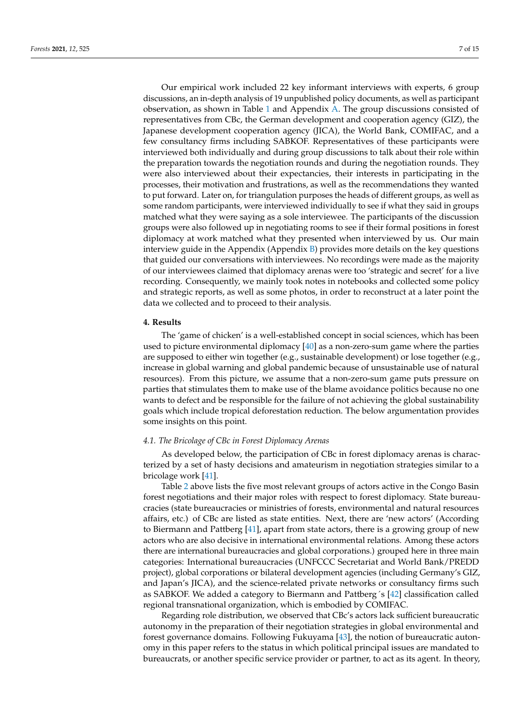Our empirical work included 22 key informant interviews with experts, 6 group discussions, an in-depth analysis of 19 unpublished policy documents, as well as participant observation, as shown in Table [1](#page-5-0) and Appendix [A.](#page-11-0) The group discussions consisted of representatives from CBc, the German development and cooperation agency (GIZ), the Japanese development cooperation agency (JICA), the World Bank, COMIFAC, and a few consultancy firms including SABKOF. Representatives of these participants were interviewed both individually and during group discussions to talk about their role within the preparation towards the negotiation rounds and during the negotiation rounds. They were also interviewed about their expectancies, their interests in participating in the processes, their motivation and frustrations, as well as the recommendations they wanted to put forward. Later on, for triangulation purposes the heads of different groups, as well as some random participants, were interviewed individually to see if what they said in groups matched what they were saying as a sole interviewee. The participants of the discussion groups were also followed up in negotiating rooms to see if their formal positions in forest diplomacy at work matched what they presented when interviewed by us. Our main interview guide in the Appendix (Appendix  $B$ ) provides more details on the key questions that guided our conversations with interviewees. No recordings were made as the majority of our interviewees claimed that diplomacy arenas were too 'strategic and secret' for a live recording. Consequently, we mainly took notes in notebooks and collected some policy and strategic reports, as well as some photos, in order to reconstruct at a later point the data we collected and to proceed to their analysis.

# <span id="page-6-0"></span>**4. Results**

The 'game of chicken' is a well-established concept in social sciences, which has been used to picture environmental diplomacy [\[40\]](#page-14-3) as a non-zero-sum game where the parties are supposed to either win together (e.g., sustainable development) or lose together (e.g., increase in global warning and global pandemic because of unsustainable use of natural resources). From this picture, we assume that a non-zero-sum game puts pressure on parties that stimulates them to make use of the blame avoidance politics because no one wants to defect and be responsible for the failure of not achieving the global sustainability goals which include tropical deforestation reduction. The below argumentation provides some insights on this point.

# *4.1. The Bricolage of CBc in Forest Diplomacy Arenas*

As developed below, the participation of CBc in forest diplomacy arenas is characterized by a set of hasty decisions and amateurism in negotiation strategies similar to a bricolage work [\[41\]](#page-14-4).

Table [2](#page-7-0) above lists the five most relevant groups of actors active in the Congo Basin forest negotiations and their major roles with respect to forest diplomacy. State bureaucracies (state bureaucracies or ministries of forests, environmental and natural resources affairs, etc.) of CBc are listed as state entities. Next, there are 'new actors' (According to Biermann and Pattberg [\[41\]](#page-14-4), apart from state actors, there is a growing group of new actors who are also decisive in international environmental relations. Among these actors there are international bureaucracies and global corporations.) grouped here in three main categories: International bureaucracies (UNFCCC Secretariat and World Bank/PREDD project), global corporations or bilateral development agencies (including Germany's GIZ, and Japan's JICA), and the science-related private networks or consultancy firms such as SABKOF. We added a category to Biermann and Pattberg´s [\[42\]](#page-14-5) classification called regional transnational organization, which is embodied by COMIFAC.

Regarding role distribution, we observed that CBc's actors lack sufficient bureaucratic autonomy in the preparation of their negotiation strategies in global environmental and forest governance domains. Following Fukuyama [\[43\]](#page-14-6), the notion of bureaucratic autonomy in this paper refers to the status in which political principal issues are mandated to bureaucrats, or another specific service provider or partner, to act as its agent. In theory,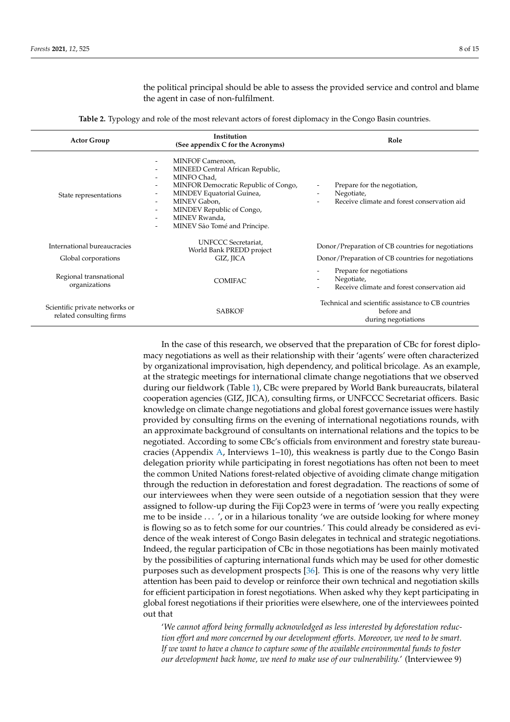the political principal should be able to assess the provided service and control and blame the agent in case of non-fulfilment.

**Table 2.** Typology and role of the most relevant actors of forest diplomacy in the Congo Basin countries.

<span id="page-7-0"></span>

| <b>Actor Group</b>                                         | Institution<br>(See appendix C for the Acronyms)                                                                                                                                                                                                                                                                                                                                                                                                                            | Role                                                                                                                                          |
|------------------------------------------------------------|-----------------------------------------------------------------------------------------------------------------------------------------------------------------------------------------------------------------------------------------------------------------------------------------------------------------------------------------------------------------------------------------------------------------------------------------------------------------------------|-----------------------------------------------------------------------------------------------------------------------------------------------|
| State representations                                      | MINFOF Cameroon,<br>$\overline{\phantom{0}}$<br>MINEED Central African Republic,<br>$\overline{\phantom{0}}$<br>MINFO Chad.<br>$\overline{\phantom{0}}$<br>MINFOR Democratic Republic of Congo,<br>-<br>MINDEV Equatorial Guinea,<br>$\overline{\phantom{0}}$<br>MINEV Gabon,<br>$\overline{\phantom{0}}$<br>MINDEV Republic of Congo,<br>$\overline{\phantom{0}}$<br>MINEV Rwanda,<br>$\overline{\phantom{0}}$<br>MINEV São Tomé and Príncipe.<br>$\overline{\phantom{0}}$ | Prepare for the negotiation,<br>Negotiate,<br>Receive climate and forest conservation aid                                                     |
| International bureaucracies                                | <b>UNFCCC</b> Secretariat,<br>World Bank PREDD project                                                                                                                                                                                                                                                                                                                                                                                                                      | Donor/Preparation of CB countries for negotiations                                                                                            |
| Global corporations                                        | GIZ, JICA                                                                                                                                                                                                                                                                                                                                                                                                                                                                   | Donor/Preparation of CB countries for negotiations                                                                                            |
| Regional transnational<br>organizations                    | COMIFAC.                                                                                                                                                                                                                                                                                                                                                                                                                                                                    | Prepare for negotiations<br>$\overline{\phantom{a}}$<br>Negotiate,<br>$\overline{\phantom{a}}$<br>Receive climate and forest conservation aid |
| Scientific private networks or<br>related consulting firms | <b>SABKOF</b>                                                                                                                                                                                                                                                                                                                                                                                                                                                               | Technical and scientific assistance to CB countries<br>before and<br>during negotiations                                                      |

In the case of this research, we observed that the preparation of CBc for forest diplomacy negotiations as well as their relationship with their 'agents' were often characterized by organizational improvisation, high dependency, and political bricolage. As an example, at the strategic meetings for international climate change negotiations that we observed during our fieldwork (Table [1\)](#page-5-0), CBc were prepared by World Bank bureaucrats, bilateral cooperation agencies (GIZ, JICA), consulting firms, or UNFCCC Secretariat officers. Basic knowledge on climate change negotiations and global forest governance issues were hastily provided by consulting firms on the evening of international negotiations rounds, with an approximate background of consultants on international relations and the topics to be negotiated. According to some CBc's officials from environment and forestry state bureaucracies (Appendix [A,](#page-11-0) Interviews 1–10), this weakness is partly due to the Congo Basin delegation priority while participating in forest negotiations has often not been to meet the common United Nations forest-related objective of avoiding climate change mitigation through the reduction in deforestation and forest degradation. The reactions of some of our interviewees when they were seen outside of a negotiation session that they were assigned to follow-up during the Fiji Cop23 were in terms of 'were you really expecting me to be inside . . . ', or in a hilarious tonality 'we are outside looking for where money is flowing so as to fetch some for our countries.' This could already be considered as evidence of the weak interest of Congo Basin delegates in technical and strategic negotiations. Indeed, the regular participation of CBc in those negotiations has been mainly motivated by the possibilities of capturing international funds which may be used for other domestic purposes such as development prospects [\[36\]](#page-13-28). This is one of the reasons why very little attention has been paid to develop or reinforce their own technical and negotiation skills for efficient participation in forest negotiations. When asked why they kept participating in global forest negotiations if their priorities were elsewhere, one of the interviewees pointed out that

'*We cannot afford being formally acknowledged as less interested by deforestation reduction effort and more concerned by our development efforts. Moreover, we need to be smart. If we want to have a chance to capture some of the available environmental funds to foster our development back home, we need to make use of our vulnerability.*' (Interviewee 9)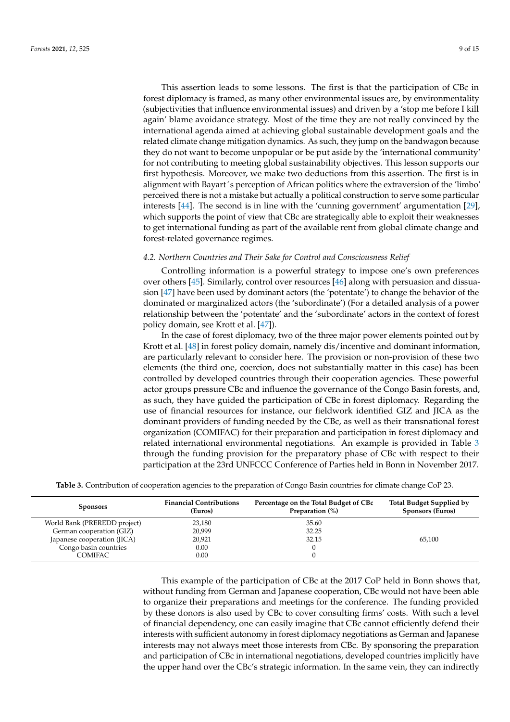This assertion leads to some lessons. The first is that the participation of CBc in forest diplomacy is framed, as many other environmental issues are, by environmentality (subjectivities that influence environmental issues) and driven by a 'stop me before I kill again' blame avoidance strategy. Most of the time they are not really convinced by the international agenda aimed at achieving global sustainable development goals and the related climate change mitigation dynamics. As such, they jump on the bandwagon because they do not want to become unpopular or be put aside by the 'international community' for not contributing to meeting global sustainability objectives. This lesson supports our first hypothesis. Moreover, we make two deductions from this assertion. The first is in alignment with Bayart´s perception of African politics where the extraversion of the 'limbo' perceived there is not a mistake but actually a political construction to serve some particular interests [\[44\]](#page-14-7). The second is in line with the 'cunning government' argumentation [\[29\]](#page-13-21), which supports the point of view that CBc are strategically able to exploit their weaknesses to get international funding as part of the available rent from global climate change and forest-related governance regimes.

# *4.2. Northern Countries and Their Sake for Control and Consciousness Relief*

Controlling information is a powerful strategy to impose one's own preferences over others [\[45\]](#page-14-8). Similarly, control over resources [\[46\]](#page-14-9) along with persuasion and dissuasion [\[47\]](#page-14-10) have been used by dominant actors (the 'potentate') to change the behavior of the dominated or marginalized actors (the 'subordinate') (For a detailed analysis of a power relationship between the 'potentate' and the 'subordinate' actors in the context of forest policy domain, see Krott et al. [\[47\]](#page-14-10)).

In the case of forest diplomacy, two of the three major power elements pointed out by Krott et al. [\[48\]](#page-14-11) in forest policy domain, namely dis/incentive and dominant information, are particularly relevant to consider here. The provision or non-provision of these two elements (the third one, coercion, does not substantially matter in this case) has been controlled by developed countries through their cooperation agencies. These powerful actor groups pressure CBc and influence the governance of the Congo Basin forests, and, as such, they have guided the participation of CBc in forest diplomacy. Regarding the use of financial resources for instance, our fieldwork identified GIZ and JICA as the dominant providers of funding needed by the CBc, as well as their transnational forest organization (COMIFAC) for their preparation and participation in forest diplomacy and related international environmental negotiations. An example is provided in Table [3](#page-8-0) through the funding provision for the preparatory phase of CBc with respect to their participation at the 23rd UNFCCC Conference of Parties held in Bonn in November 2017.

| <b>Table 3.</b> Contribution of cooperation agencies to the preparation of Congo Basin countries for climate change CoP 23. |  |  |  |  |  |  |  |  |
|-----------------------------------------------------------------------------------------------------------------------------|--|--|--|--|--|--|--|--|
|-----------------------------------------------------------------------------------------------------------------------------|--|--|--|--|--|--|--|--|

<span id="page-8-0"></span>

| <b>Sponsors</b>              | <b>Financial Contributions</b><br>(Euros) | Percentage on the Total Budget of CBc<br>Preparation (%) | Total Budget Supplied by<br><b>Sponsors (Euros)</b> |
|------------------------------|-------------------------------------------|----------------------------------------------------------|-----------------------------------------------------|
| World Bank (PREREDD project) | 23,180                                    | 35.60                                                    |                                                     |
| German cooperation (GIZ)     | 20.999                                    | 32.25                                                    |                                                     |
| Japanese cooperation (JICA)  | 20,921                                    | 32.15                                                    | 65,100                                              |
| Congo basin countries        | 0.00                                      |                                                          |                                                     |
| COMIFAC                      | 0.00                                      |                                                          |                                                     |

This example of the participation of CBc at the 2017 CoP held in Bonn shows that, without funding from German and Japanese cooperation, CBc would not have been able to organize their preparations and meetings for the conference. The funding provided by these donors is also used by CBc to cover consulting firms' costs. With such a level of financial dependency, one can easily imagine that CBc cannot efficiently defend their interests with sufficient autonomy in forest diplomacy negotiations as German and Japanese interests may not always meet those interests from CBc. By sponsoring the preparation and participation of CBc in international negotiations, developed countries implicitly have the upper hand over the CBc's strategic information. In the same vein, they can indirectly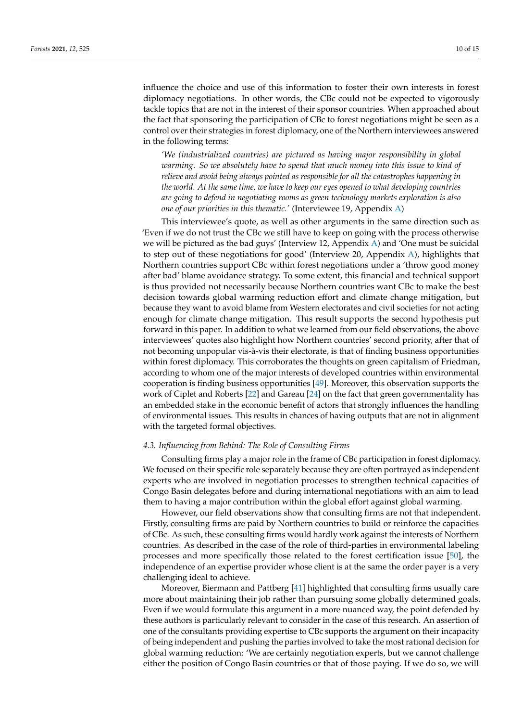influence the choice and use of this information to foster their own interests in forest diplomacy negotiations. In other words, the CBc could not be expected to vigorously tackle topics that are not in the interest of their sponsor countries. When approached about the fact that sponsoring the participation of CBc to forest negotiations might be seen as a control over their strategies in forest diplomacy, one of the Northern interviewees answered in the following terms:

*'We (industrialized countries) are pictured as having major responsibility in global warming. So we absolutely have to spend that much money into this issue to kind of relieve and avoid being always pointed as responsible for all the catastrophes happening in the world. At the same time, we have to keep our eyes opened to what developing countries are going to defend in negotiating rooms as green technology markets exploration is also one of our priorities in this thematic.'* (Interviewee 19, Appendix [A\)](#page-11-0)

This interviewee's quote, as well as other arguments in the same direction such as 'Even if we do not trust the CBc we still have to keep on going with the process otherwise we will be pictured as the bad guys' (Interview 12, Appendix [A\)](#page-11-0) and 'One must be suicidal to step out of these negotiations for good' (Interview 20, Appendix [A\)](#page-11-0), highlights that Northern countries support CBc within forest negotiations under a 'throw good money after bad' blame avoidance strategy. To some extent, this financial and technical support is thus provided not necessarily because Northern countries want CBc to make the best decision towards global warming reduction effort and climate change mitigation, but because they want to avoid blame from Western electorates and civil societies for not acting enough for climate change mitigation. This result supports the second hypothesis put forward in this paper. In addition to what we learned from our field observations, the above interviewees' quotes also highlight how Northern countries' second priority, after that of not becoming unpopular vis-à-vis their electorate, is that of finding business opportunities within forest diplomacy. This corroborates the thoughts on green capitalism of Friedman, according to whom one of the major interests of developed countries within environmental cooperation is finding business opportunities [\[49\]](#page-14-12). Moreover, this observation supports the work of Ciplet and Roberts [\[22\]](#page-13-14) and Gareau [\[24\]](#page-13-16) on the fact that green governmentality has an embedded stake in the economic benefit of actors that strongly influences the handling of environmental issues. This results in chances of having outputs that are not in alignment with the targeted formal objectives.

## *4.3. Influencing from Behind: The Role of Consulting Firms*

Consulting firms play a major role in the frame of CBc participation in forest diplomacy. We focused on their specific role separately because they are often portrayed as independent experts who are involved in negotiation processes to strengthen technical capacities of Congo Basin delegates before and during international negotiations with an aim to lead them to having a major contribution within the global effort against global warming.

However, our field observations show that consulting firms are not that independent. Firstly, consulting firms are paid by Northern countries to build or reinforce the capacities of CBc. As such, these consulting firms would hardly work against the interests of Northern countries. As described in the case of the role of third-parties in environmental labeling processes and more specifically those related to the forest certification issue [\[50\]](#page-14-13), the independence of an expertise provider whose client is at the same the order payer is a very challenging ideal to achieve.

Moreover, Biermann and Pattberg [\[41\]](#page-14-4) highlighted that consulting firms usually care more about maintaining their job rather than pursuing some globally determined goals. Even if we would formulate this argument in a more nuanced way, the point defended by these authors is particularly relevant to consider in the case of this research. An assertion of one of the consultants providing expertise to CBc supports the argument on their incapacity of being independent and pushing the parties involved to take the most rational decision for global warming reduction: 'We are certainly negotiation experts, but we cannot challenge either the position of Congo Basin countries or that of those paying. If we do so, we will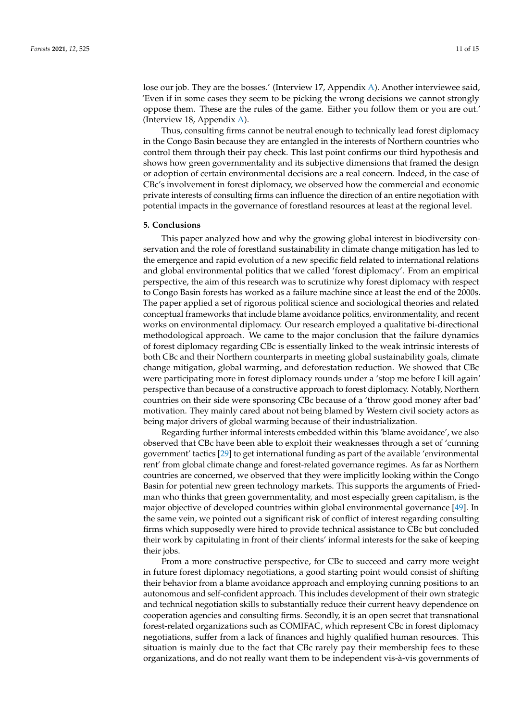lose our job. They are the bosses.' (Interview 17, Appendix [A\)](#page-11-0). Another interviewee said, 'Even if in some cases they seem to be picking the wrong decisions we cannot strongly oppose them. These are the rules of the game. Either you follow them or you are out.' (Interview 18, Appendix [A\)](#page-11-0).

Thus, consulting firms cannot be neutral enough to technically lead forest diplomacy in the Congo Basin because they are entangled in the interests of Northern countries who control them through their pay check. This last point confirms our third hypothesis and shows how green governmentality and its subjective dimensions that framed the design or adoption of certain environmental decisions are a real concern. Indeed, in the case of CBc's involvement in forest diplomacy, we observed how the commercial and economic private interests of consulting firms can influence the direction of an entire negotiation with potential impacts in the governance of forestland resources at least at the regional level.

## <span id="page-10-0"></span>**5. Conclusions**

This paper analyzed how and why the growing global interest in biodiversity conservation and the role of forestland sustainability in climate change mitigation has led to the emergence and rapid evolution of a new specific field related to international relations and global environmental politics that we called 'forest diplomacy'. From an empirical perspective, the aim of this research was to scrutinize why forest diplomacy with respect to Congo Basin forests has worked as a failure machine since at least the end of the 2000s. The paper applied a set of rigorous political science and sociological theories and related conceptual frameworks that include blame avoidance politics, environmentality, and recent works on environmental diplomacy. Our research employed a qualitative bi-directional methodological approach. We came to the major conclusion that the failure dynamics of forest diplomacy regarding CBc is essentially linked to the weak intrinsic interests of both CBc and their Northern counterparts in meeting global sustainability goals, climate change mitigation, global warming, and deforestation reduction. We showed that CBc were participating more in forest diplomacy rounds under a 'stop me before I kill again' perspective than because of a constructive approach to forest diplomacy. Notably, Northern countries on their side were sponsoring CBc because of a 'throw good money after bad' motivation. They mainly cared about not being blamed by Western civil society actors as being major drivers of global warming because of their industrialization.

Regarding further informal interests embedded within this 'blame avoidance', we also observed that CBc have been able to exploit their weaknesses through a set of 'cunning government' tactics [\[29\]](#page-13-21) to get international funding as part of the available 'environmental rent' from global climate change and forest-related governance regimes. As far as Northern countries are concerned, we observed that they were implicitly looking within the Congo Basin for potential new green technology markets. This supports the arguments of Friedman who thinks that green governmentality, and most especially green capitalism, is the major objective of developed countries within global environmental governance [\[49\]](#page-14-12). In the same vein, we pointed out a significant risk of conflict of interest regarding consulting firms which supposedly were hired to provide technical assistance to CBc but concluded their work by capitulating in front of their clients' informal interests for the sake of keeping their jobs.

From a more constructive perspective, for CBc to succeed and carry more weight in future forest diplomacy negotiations, a good starting point would consist of shifting their behavior from a blame avoidance approach and employing cunning positions to an autonomous and self-confident approach. This includes development of their own strategic and technical negotiation skills to substantially reduce their current heavy dependence on cooperation agencies and consulting firms. Secondly, it is an open secret that transnational forest-related organizations such as COMIFAC, which represent CBc in forest diplomacy negotiations, suffer from a lack of finances and highly qualified human resources. This situation is mainly due to the fact that CBc rarely pay their membership fees to these organizations, and do not really want them to be independent vis-à-vis governments of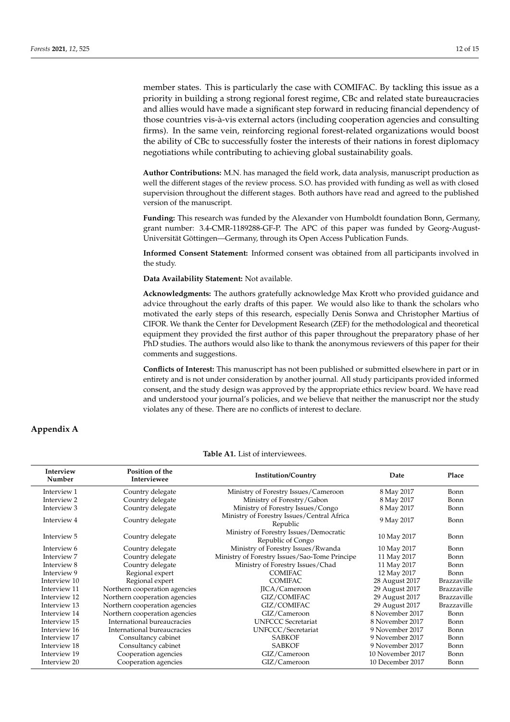member states. This is particularly the case with COMIFAC. By tackling this issue as a priority in building a strong regional forest regime, CBc and related state bureaucracies and allies would have made a significant step forward in reducing financial dependency of those countries vis-à-vis external actors (including cooperation agencies and consulting firms). In the same vein, reinforcing regional forest-related organizations would boost the ability of CBc to successfully foster the interests of their nations in forest diplomacy negotiations while contributing to achieving global sustainability goals.

**Author Contributions:** M.N. has managed the field work, data analysis, manuscript production as well the different stages of the review process. S.O. has provided with funding as well as with closed supervision throughout the different stages. Both authors have read and agreed to the published version of the manuscript.

**Funding:** This research was funded by the Alexander von Humboldt foundation Bonn, Germany, grant number: 3.4-CMR-1189288-GF-P. The APC of this paper was funded by Georg-August-Universität Göttingen—Germany, through its Open Access Publication Funds.

**Informed Consent Statement:** Informed consent was obtained from all participants involved in the study.

**Data Availability Statement:** Not available.

**Acknowledgments:** The authors gratefully acknowledge Max Krott who provided guidance and advice throughout the early drafts of this paper. We would also like to thank the scholars who motivated the early steps of this research, especially Denis Sonwa and Christopher Martius of CIFOR. We thank the Center for Development Research (ZEF) for the methodological and theoretical equipment they provided the first author of this paper throughout the preparatory phase of her PhD studies. The authors would also like to thank the anonymous reviewers of this paper for their comments and suggestions.

**Conflicts of Interest:** This manuscript has not been published or submitted elsewhere in part or in entirety and is not under consideration by another journal. All study participants provided informed consent, and the study design was approved by the appropriate ethics review board. We have read and understood your journal's policies, and we believe that neither the manuscript nor the study violates any of these. There are no conflicts of interest to declare.

# <span id="page-11-0"></span>**Appendix A**

| Interview<br>Number | Position of the<br>Interviewee | <b>Institution/Country</b>                                  | Date             | Place       |
|---------------------|--------------------------------|-------------------------------------------------------------|------------------|-------------|
| Interview 1         | Country delegate               | Ministry of Forestry Issues/Cameroon                        | 8 May 2017       | Bonn        |
| Interview 2         | Country delegate               | Ministry of Forestry/Gabon                                  | 8 May 2017       | Bonn        |
| Interview 3         | Country delegate               | Ministry of Forestry Issues/Congo                           | 8 May 2017       | Bonn        |
| Interview 4         | Country delegate               | Ministry of Forestry Issues/Central Africa<br>Republic      | 9 May 2017       | Bonn        |
| Interview 5         | Country delegate               | Ministry of Forestry Issues/Democratic<br>Republic of Congo | 10 May 2017      | Bonn        |
| Interview 6         | Country delegate               | Ministry of Forestry Issues/Rwanda                          | 10 May 2017      | Bonn        |
| Interview 7         | Country delegate               | Ministry of Forestry Issues/Sao-Tome Principe               | 11 May 2017      | Bonn        |
| Interview 8         | Country delegate               | Ministry of Forestry Issues/Chad                            | 11 May 2017      | Bonn        |
| Interview 9         | Regional expert                | COMIFAC.                                                    | 12 May 2017      | Bonn        |
| Interview 10        | Regional expert                | <b>COMIFAC</b>                                              | 28 August 2017   | Brazzaville |
| Interview 11        | Northern cooperation agencies  | JICA/Cameroon                                               | 29 August 2017   | Brazzaville |
| Interview 12        | Northern cooperation agencies  | GIZ/COMIFAC                                                 | 29 August 2017   | Brazzaville |
| Interview 13        | Northern cooperation agencies  | GIZ/COMIFAC                                                 | 29 August 2017   | Brazzaville |
| Interview 14        | Northern cooperation agencies  | GIZ/Cameroon                                                | 8 November 2017  | Bonn        |
| Interview 15        | International bureaucracies    | <b>UNFCCC</b> Secretariat                                   | 8 November 2017  | Bonn        |
| Interview 16        | International bureaucracies    | UNFCCC/Secretariat                                          | 9 November 2017  | Bonn        |
| Interview 17        | Consultancy cabinet            | <b>SABKOF</b>                                               | 9 November 2017  | Bonn        |
| Interview 18        | Consultancy cabinet            | <b>SABKOF</b>                                               | 9 November 2017  | Bonn        |
| Interview 19        | Cooperation agencies           | GIZ/Cameroon                                                | 10 November 2017 | Bonn        |
| Interview 20        | Cooperation agencies           | GIZ/Cameroon                                                | 10 December 2017 | Bonn        |
|                     |                                |                                                             |                  |             |

**Table A1.** List of interviewees.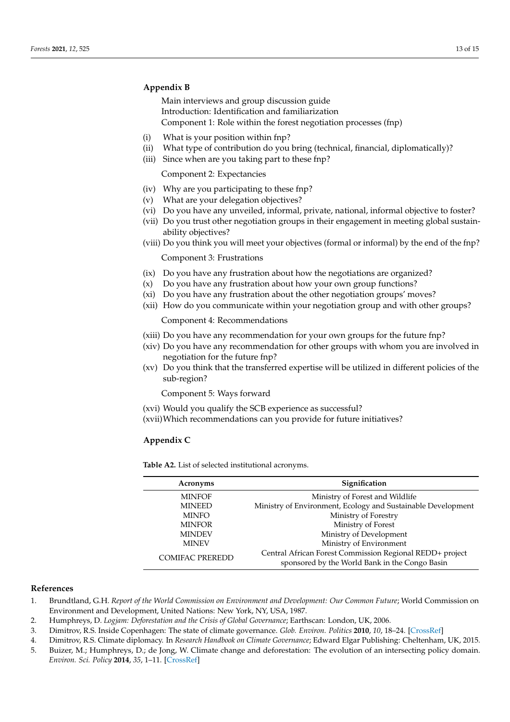# <span id="page-12-1"></span>**Appendix B**

Main interviews and group discussion guide Introduction: Identification and familiarization Component 1: Role within the forest negotiation processes (fnp)

- (i) What is your position within fnp?
- (ii) What type of contribution do you bring (technical, financial, diplomatically)?
- (iii) Since when are you taking part to these fnp?

Component 2: Expectancies

- (iv) Why are you participating to these fnp?
- (v) What are your delegation objectives?
- (vi) Do you have any unveiled, informal, private, national, informal objective to foster?
- (vii) Do you trust other negotiation groups in their engagement in meeting global sustainability objectives?
- (viii) Do you think you will meet your objectives (formal or informal) by the end of the fnp?

Component 3: Frustrations

- (ix) Do you have any frustration about how the negotiations are organized?
- (x) Do you have any frustration about how your own group functions?
- (xi) Do you have any frustration about the other negotiation groups' moves?
- (xii) How do you communicate within your negotiation group and with other groups?

Component 4: Recommendations

- (xiii) Do you have any recommendation for your own groups for the future fnp?
- (xiv) Do you have any recommendation for other groups with whom you are involved in negotiation for the future fnp?
- (xv) Do you think that the transferred expertise will be utilized in different policies of the sub-region?

Component 5: Ways forward

- (xvi) Would you qualify the SCB experience as successful?
- (xvii)Which recommendations can you provide for future initiatives?

# **Appendix C**

**Table A2.** List of selected institutional acronyms.

| Acronyms               | Signification                                                                                              |
|------------------------|------------------------------------------------------------------------------------------------------------|
| <b>MINFOF</b>          | Ministry of Forest and Wildlife                                                                            |
| <b>MINEED</b>          | Ministry of Environment, Ecology and Sustainable Development                                               |
| <b>MINFO</b>           | Ministry of Forestry                                                                                       |
| <b>MINFOR</b>          | Ministry of Forest                                                                                         |
| <b>MINDEV</b>          | Ministry of Development                                                                                    |
| <b>MINEV</b>           | Ministry of Environment                                                                                    |
| <b>COMIFAC PREREDD</b> | Central African Forest Commission Regional REDD+ project<br>sponsored by the World Bank in the Congo Basin |

# **References**

- <span id="page-12-0"></span>1. Brundtland, G.H. *Report of the World Commission on Environment and Development: Our Common Future*; World Commission on Environment and Development, United Nations: New York, NY, USA, 1987.
- 2. Humphreys, D. *Logjam: Deforestation and the Crisis of Global Governance*; Earthscan: London, UK, 2006.
- 3. Dimitrov, R.S. Inside Copenhagen: The state of climate governance. *Glob. Environ. Politics* **2010**, *10*, 18–24. [\[CrossRef\]](http://doi.org/10.1162/glep.2010.10.2.18)
- 4. Dimitrov, R.S. Climate diplomacy. In *Research Handbook on Climate Governance*; Edward Elgar Publishing: Cheltenham, UK, 2015. 5. Buizer, M.; Humphreys, D.; de Jong, W. Climate change and deforestation: The evolution of an intersecting policy domain.
- *Environ. Sci. Policy* **2014**, *35*, 1–11. [\[CrossRef\]](http://doi.org/10.1016/j.envsci.2013.06.001)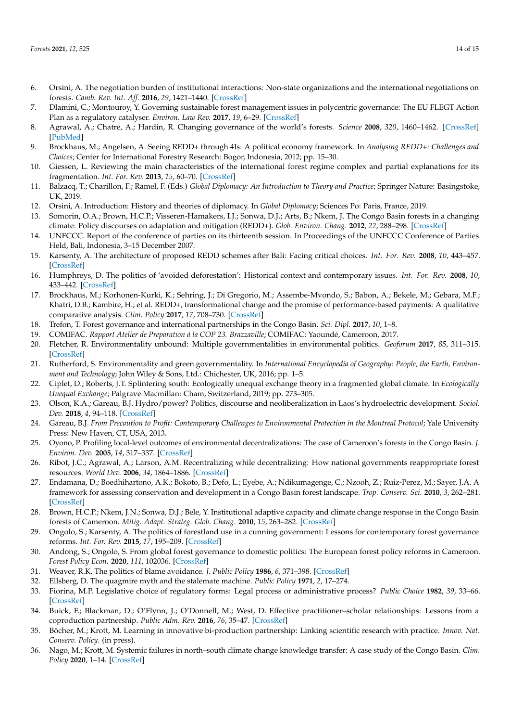- 6. Orsini, A. The negotiation burden of institutional interactions: Non-state organizations and the international negotiations on forests. *Camb. Rev. Int. Aff.* **2016**, *29*, 1421–1440. [\[CrossRef\]](http://doi.org/10.1080/09557571.2017.1293610)
- <span id="page-13-0"></span>7. Dlamini, C.; Montouroy, Y. Governing sustainable forest management issues in polycentric governance: The EU FLEGT Action Plan as a regulatory catalyser. *Environ. Law Rev.* **2017**, *19*, 6–29. [\[CrossRef\]](http://doi.org/10.1177/1461452917691863)
- <span id="page-13-1"></span>8. Agrawal, A.; Chatre, A.; Hardin, R. Changing governance of the world's forests. *Science* **2008**, *320*, 1460–1462. [\[CrossRef\]](http://doi.org/10.1126/science.1155369) [\[PubMed\]](http://www.ncbi.nlm.nih.gov/pubmed/18556552)
- 9. Brockhaus, M.; Angelsen, A. Seeing REDD+ through 4Is: A political economy framework. In *Analysing REDD+: Challenges and Choices*; Center for International Forestry Research: Bogor, Indonesia, 2012; pp. 15–30.
- <span id="page-13-2"></span>10. Giessen, L. Reviewing the main characteristics of the international forest regime complex and partial explanations for its fragmentation. *Int. For. Rev.* **2013**, *15*, 60–70. [\[CrossRef\]](http://doi.org/10.1505/146554813805927192)
- <span id="page-13-3"></span>11. Balzacq, T.; Charillon, F.; Ramel, F. (Eds.) *Global Diplomacy: An Introduction to Theory and Practice*; Springer Nature: Basingstoke, UK, 2019.
- <span id="page-13-4"></span>12. Orsini, A. Introduction: History and theories of diplomacy. In *Global Diplomacy*; Sciences Po: Paris, France, 2019.
- <span id="page-13-5"></span>13. Somorin, O.A.; Brown, H.C.P.; Visseren-Hamakers, I.J.; Sonwa, D.J.; Arts, B.; Nkem, J. The Congo Basin forests in a changing climate: Policy discourses on adaptation and mitigation (REDD+). *Glob. Environ. Chang.* **2012**, *22*, 288–298. [\[CrossRef\]](http://doi.org/10.1016/j.gloenvcha.2011.08.001)
- <span id="page-13-6"></span>14. UNFCCC. Report of the conference of parties on its thirteenth session. In Proceedings of the UNFCCC Conference of Parties Held, Bali, Indonesia, 3–15 December 2007.
- <span id="page-13-7"></span>15. Karsenty, A. The architecture of proposed REDD schemes after Bali: Facing critical choices. *Int. For. Rev.* **2008**, *10*, 443–457. [\[CrossRef\]](http://doi.org/10.1505/ifor.10.3.443)
- <span id="page-13-9"></span>16. Humphreys, D. The politics of 'avoided deforestation': Historical context and contemporary issues. *Int. For. Rev.* **2008**, *10*, 433–442. [\[CrossRef\]](http://doi.org/10.1505/ifor.10.3.433)
- <span id="page-13-8"></span>17. Brockhaus, M.; Korhonen-Kurki, K.; Sehring, J.; Di Gregorio, M.; Assembe-Mvondo, S.; Babon, A.; Bekele, M.; Gebara, M.F.; Khatri, D.B.; Kambire, H.; et al. REDD+, transformational change and the promise of performance-based payments: A qualitative comparative analysis. *Clim. Policy* **2017**, *17*, 708–730. [\[CrossRef\]](http://doi.org/10.1080/14693062.2016.1169392)
- <span id="page-13-10"></span>18. Trefon, T. Forest governance and international partnerships in the Congo Basin. *Sci. Dipl.* **2017**, *10*, 1–8.
- <span id="page-13-11"></span>19. COMIFAC. *Rapport Atelier de Preparation á la COP 23. Brazzaville*; COMIFAC: Yaoundé, Cameroon, 2017.
- <span id="page-13-12"></span>20. Fletcher, R. Environmentality unbound: Multiple governmentalities in environmental politics. *Geoforum* **2017**, *85*, 311–315. [\[CrossRef\]](http://doi.org/10.1016/j.geoforum.2017.06.009)
- <span id="page-13-13"></span>21. Rutherford, S. Environmentality and green governmentality. In *International Encyclopedia of Geography: People, the Earth, Environment and Technology*; John Wiley & Sons, Ltd.: Chichester, UK, 2016; pp. 1–5.
- <span id="page-13-14"></span>22. Ciplet, D.; Roberts, J.T. Splintering south: Ecologically unequal exchange theory in a fragmented global climate. In *Ecologically Unequal Exchange*; Palgrave Macmillan: Cham, Switzerland, 2019; pp. 273–305.
- <span id="page-13-15"></span>23. Olson, K.A.; Gareau, B.J. Hydro/power? Politics, discourse and neoliberalization in Laos's hydroelectric development. *Sociol. Dev.* **2018**, *4*, 94–118. [\[CrossRef\]](http://doi.org/10.1525/sod.2018.4.1.94)
- <span id="page-13-16"></span>24. Gareau, B.J. *From Precaution to Profit: Contemporary Challenges to Environmental Protection in the Montreal Protocol*; Yale University Press: New Haven, CT, USA, 2013.
- <span id="page-13-17"></span>25. Oyono, P. Profiling local-level outcomes of environmental decentralizations: The case of Cameroon's forests in the Congo Basin. *J. Environ. Dev.* **2005**, *14*, 317–337. [\[CrossRef\]](http://doi.org/10.1177/1070496505276552)
- <span id="page-13-18"></span>26. Ribot, J.C.; Agrawal, A.; Larson, A.M. Recentralizing while decentralizing: How national governments reappropriate forest resources. *World Dev.* **2006**, *34*, 1864–1886. [\[CrossRef\]](http://doi.org/10.1016/j.worlddev.2005.11.020)
- <span id="page-13-19"></span>27. Endamana, D.; Boedhihartono, A.K.; Bokoto, B.; Defo, L.; Eyebe, A.; Ndikumagenge, C.; Nzooh, Z.; Ruiz-Perez, M.; Sayer, J.A. A framework for assessing conservation and development in a Congo Basin forest landscape. *Trop. Conserv. Sci.* **2010**, *3*, 262–281. [\[CrossRef\]](http://doi.org/10.1177/194008291000300303)
- <span id="page-13-20"></span>28. Brown, H.C.P.; Nkem, J.N.; Sonwa, D.J.; Bele, Y. Institutional adaptive capacity and climate change response in the Congo Basin forests of Cameroon. *Mitig. Adapt. Strateg. Glob. Chang.* **2010**, *15*, 263–282. [\[CrossRef\]](http://doi.org/10.1007/s11027-010-9216-3)
- <span id="page-13-21"></span>29. Ongolo, S.; Karsenty, A. The politics of forestland use in a cunning government: Lessons for contemporary forest governance reforms. *Int. For. Rev.* **2015**, *17*, 195–209. [\[CrossRef\]](http://doi.org/10.1505/146554815815500561)
- <span id="page-13-22"></span>30. Andong, S.; Ongolo, S. From global forest governance to domestic politics: The European forest policy reforms in Cameroon. *Forest Policy Econ.* **2020**, *111*, 102036. [\[CrossRef\]](http://doi.org/10.1016/j.forpol.2019.102036)
- <span id="page-13-23"></span>31. Weaver, R.K. The politics of blame avoidance. *J. Public Policy* **1986**, *6*, 371–398. [\[CrossRef\]](http://doi.org/10.1017/S0143814X00004219)
- <span id="page-13-24"></span>32. Ellsberg, D. The quagmire myth and the stalemate machine. *Public Policy* **1971**, *2*, 17–274.
- <span id="page-13-25"></span>33. Fiorina, M.P. Legislative choice of regulatory forms: Legal process or administrative process? *Public Choice* **1982**, *39*, 33–66. [\[CrossRef\]](http://doi.org/10.1007/BF00242147)
- <span id="page-13-26"></span>34. Buick, F.; Blackman, D.; O'Flynn, J.; O'Donnell, M.; West, D. Effective practitioner–scholar relationships: Lessons from a coproduction partnership. *Public Adm. Rev.* **2016**, *76*, 35–47. [\[CrossRef\]](http://doi.org/10.1111/puar.12481)
- <span id="page-13-27"></span>35. Böcher, M.; Krott, M. Learning in innovative bi-production partnership: Linking scientific research with practice. *Innov. Nat. Conserv. Policy*. (in press).
- <span id="page-13-28"></span>36. Nago, M.; Krott, M. Systemic failures in north–south climate change knowledge transfer: A case study of the Congo Basin. *Clim. Policy* **2020**, 1–14. [\[CrossRef\]](http://doi.org/10.1080/14693062.2020.1820850)